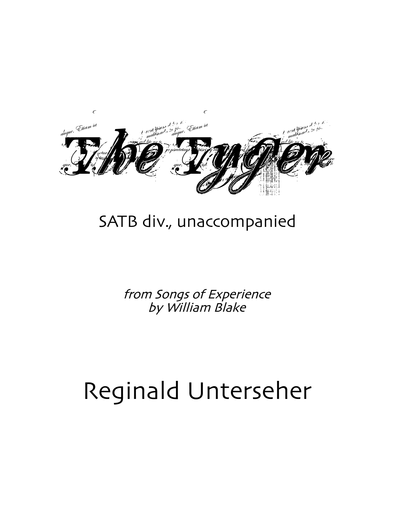

## SATB div., unaccompanied

from Songs of Experience by William Blake

## Reginald Unterseher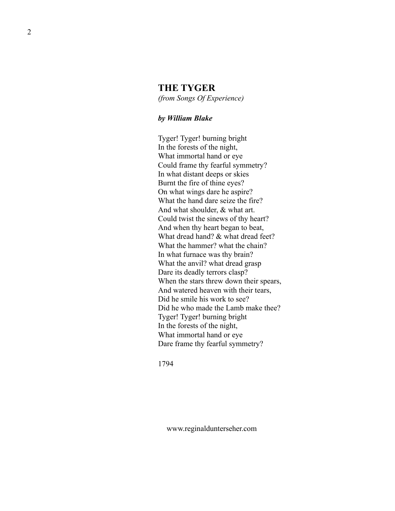## **THE TYGER**

*(from Songs Of Experience)*

## *by William Blake*

Tyger! Tyger! burning bright If year. 19 get. butting origin.<br>In the forests of the night,<br>What immortal hand or ave. What immortal hand or eye what immortal hand of cycle of the material symmetry? In what distant deeps or skies In what distant deeps of skies<br>Burnt the fire of thine eves? On what wings dare he aspire? What the hand dare seize the fire? And what shoulder, & what art.<br>Could twist the sinews of thy heart. Could twist the sinews of thy heart? And when thy heart began to beat,<br>What drood hand? *8* what drood foot? What dread hand? & what dread feet? What the hammer? what the chain? In what the hammer! What the enamer.<br>In what furnace was thy brain? In what furnace was try brain:<br>What the anvil? what dread grasp what the anyment what dread grasp.<br>Dare its deadly terrors clasp? Bare its deathy terrors etasp:<br>When the stars threw down their spears,<br>And vectored begun with their tears And watered heaven with their tears, Did he smile his work to see? Did he who made the Lamb make thee? Tyger! Tyger! burning bright If year. 19 get. butting origin.<br>In the forests of the night,<br>What immortal hand or ave. What immortal hand or eye what immortal hand of eye<br>Dare frame thy fearful symmetry?

1794

www.reginaldunterseher.com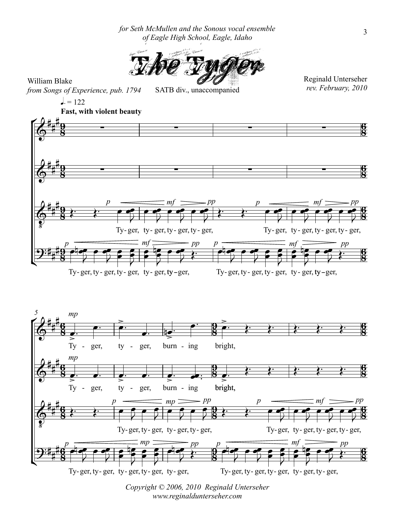

*Copyright © 2006, 2010 Reginald Unterseher www.reginaldunterseher.com*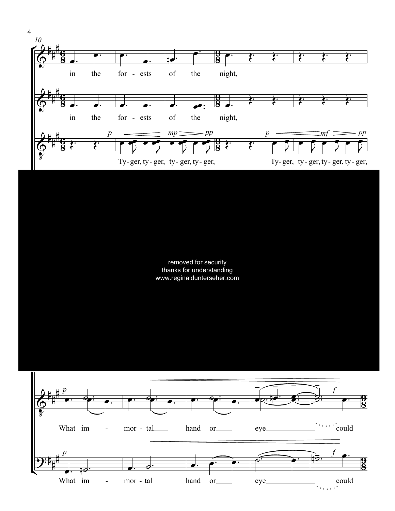

removed for security<br>thanks for understanding<br>www.reginaldunterseher.com



 $\overline{4}$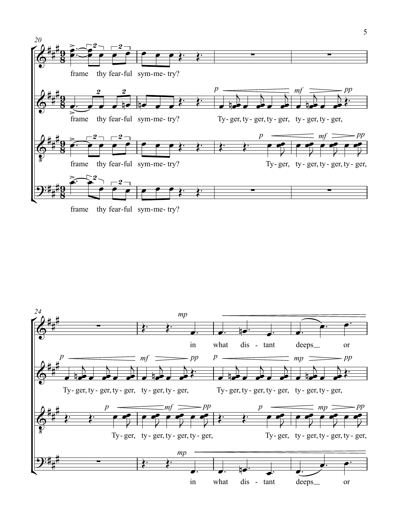

framethy fear-ful sym-me- try?

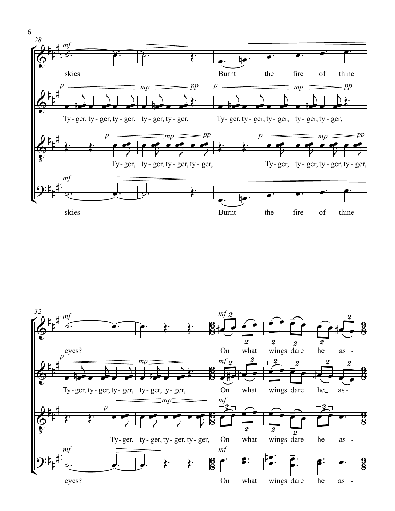

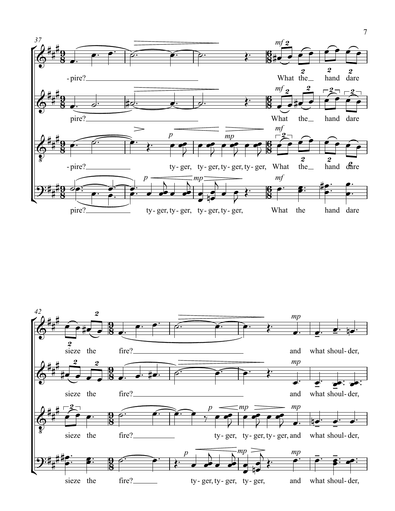

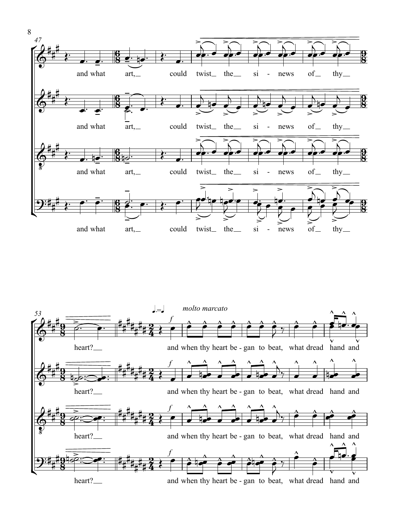

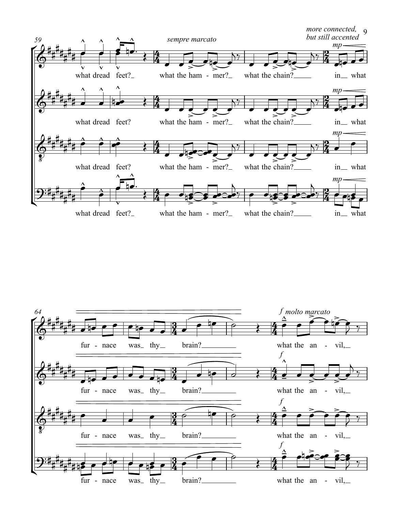

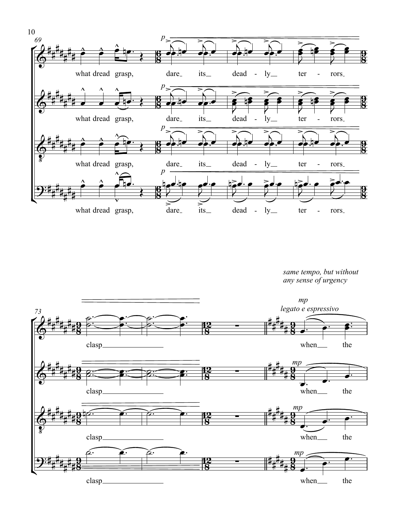

same tempo, but without any sense of urgency

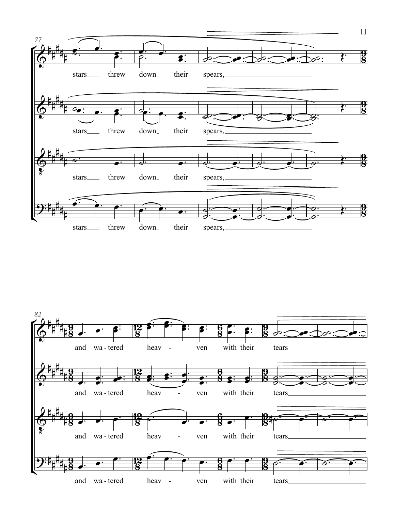

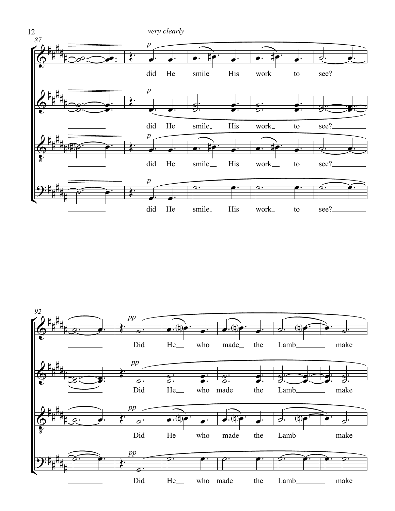

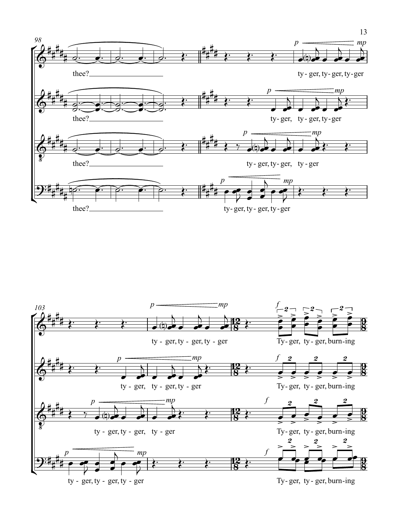

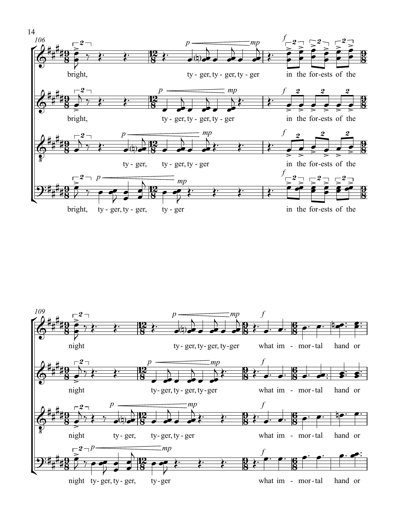